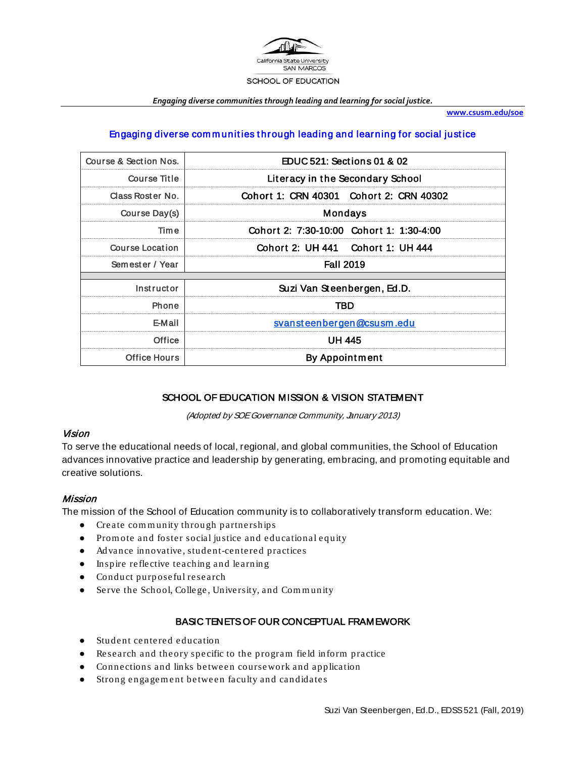

*Engaging diverse communities through leading and learning for social justice.*

**[www.csusm.edu/soe](http://www.csusm.edu/soe)**

#### Engaging diverse com m unit ies t hrough leading and learning for social just ice

| Course & Section Nos.  | EDUC 521: Sections 01 & 02               |  |
|------------------------|------------------------------------------|--|
| Course Title           | Literacy in the Secondary School         |  |
| Class Roster No.       | Cohort 1: CRN 40301 Cohort 2: CRN 40302  |  |
| Course Day(s)          | <b>Mondays</b>                           |  |
| Time                   | Cohort 2: 7:30-10:00 Cohort 1: 1:30-4:00 |  |
| <b>Course Location</b> | Cohort 2: UH 441 Cohort 1: UH 444        |  |
| Semester / Year        | <b>Fall 2019</b>                         |  |
|                        |                                          |  |
| Instructor             | Suzi Van Steenbergen, Ed.D.              |  |
| <b>Phone</b>           | TBD                                      |  |
| E-Mail                 | svansteenbergen@csusm.edu                |  |
| Office                 | UH 445                                   |  |
| <b>Office Hours</b>    | <b>By Appointment</b>                    |  |

#### SCHOOL OF EDUCATION MISSION & VISION STATEMENT

(Adopted by SOE Governance Community, January 2013)

#### Vision

To serve the educational needs of local, regional, and global communities, the School of Education advances innovative practice and leadership by generating, embracing, and promoting equitable and creative solutions.

#### **Mission**

The mission of the School of Education community is to collaboratively transform education. We:

- Create com m unity throu gh partnerships
- Prom ote and foster social justice and educational eq uity
- Advance innovative, student-centered practices
- Inspire reflective teaching and learnin g
- Conduct purposeful research
- Serve the School, College, University, and Community

#### BASIC TENETS OF OUR CONCEPTUAL FRAMEWORK

- Student centered education
- Research and theory specific to the program field inform practice
- Connections and links between coursework and application
- Strong en gagem ent between faculty and candidate s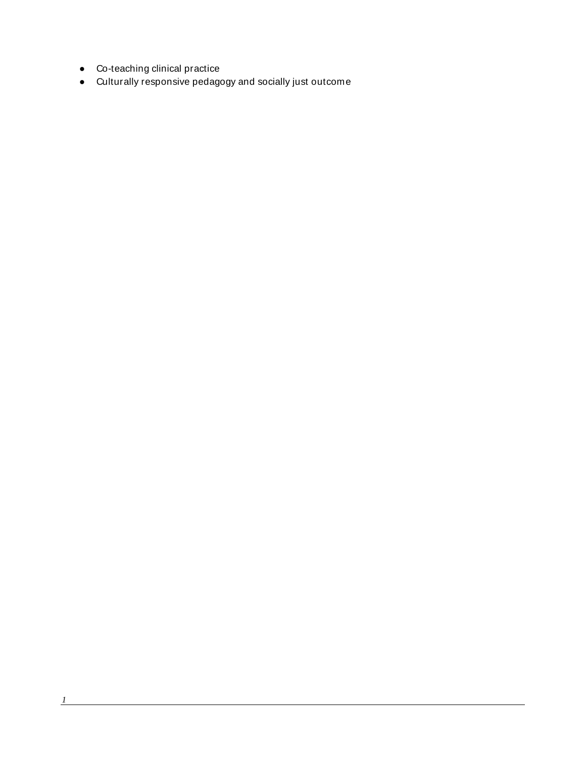- Co-teaching clinical practice
- Culturally responsive pedagogy and socially just outcome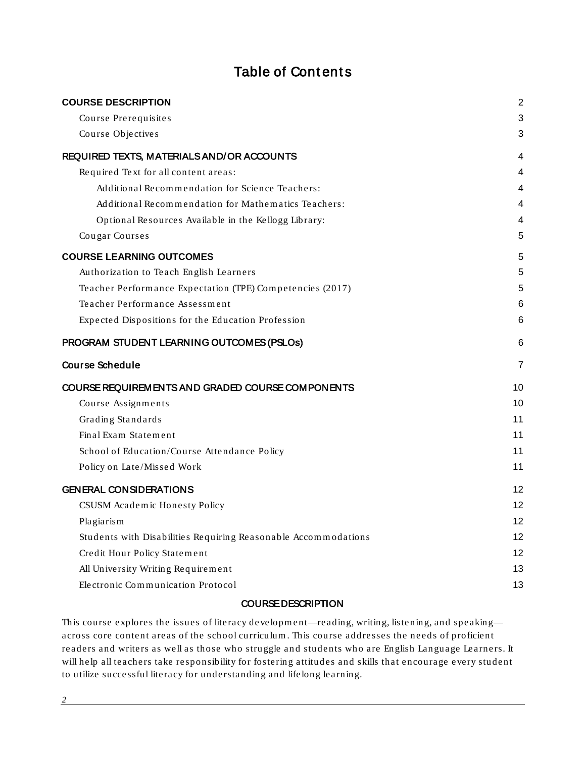## **Table of Contents**

| <b>COURSE DESCRIPTION</b>                                      | $\overline{2}$    |
|----------------------------------------------------------------|-------------------|
| Course Prerequisites                                           | 3                 |
| Course Objectives                                              | 3                 |
| REQUIRED TEXTS, MATERIALS AND/OR ACCOUNTS                      | 4                 |
| Required Text for all content areas:                           | 4                 |
| Additional Recommendation for Science Teachers:                | 4                 |
| Additional Recommendation for Mathematics Teachers:            | 4                 |
| Optional Resources Available in the Kellogg Library:           | 4                 |
| Cougar Courses                                                 | 5                 |
| <b>COURSE LEARNING OUTCOMES</b>                                | 5                 |
| Authorization to Teach English Learners                        | 5                 |
| Teacher Performance Expectation (TPE) Competencies (2017)      | 5                 |
| Teacher Performance Assessment                                 | 6                 |
| Expected Dispositions for the Education Profession             | 6                 |
| PROGRAM STUDENT LEARNING OUTCOMES (PSLOs)                      | 6                 |
| <b>Course Schedule</b>                                         | 7                 |
| COURSE REQUIREMENTS AND GRADED COURSE COMPONENTS               | 10                |
| Course Assignments                                             | 10                |
| Grading Standards                                              | 11                |
| Final Exam Statement                                           | 11                |
| School of Education/Course Attendance Policy                   | 11                |
| Policy on Late/Missed Work                                     | 11                |
| <b>GENERAL CONSIDERATIONS</b>                                  | 12                |
| CSUSM Academic Honesty Policy                                  | 12                |
| Plagiarism                                                     | $12 \overline{ }$ |
| Students with Disabilities Requiring Reasonable Accommodations | $12 \overline{ }$ |
| Credit Hour Policy Statement                                   | 12                |
| All University Writing Requirement                             | 13                |
| Electronic Communication Protocol                              | 13                |
|                                                                |                   |

#### COURSE DESCRIPTION

<span id="page-2-0"></span>This course explores the issues of literacy development—reading, writing, listening, and speaking across core content areas of the school curriculum . This course addresses the needs of proficient readers and writers as well as those who struggle and students who are English Language Learners. It will help all teachers take responsibility for fostering attitudes and skills that encourage every student to utilize successful literacy for understandin g and lifelong learning.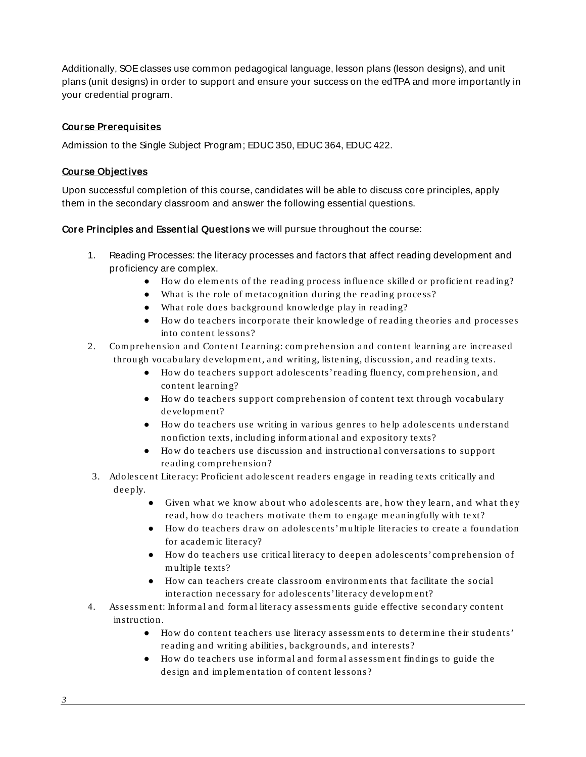Additionally, SOE classes use common pedagogical language, lesson plans (lesson designs), and unit plans (unit designs) in order to support and ensure your success on the edTPA and more importantly in your credential program.

#### <span id="page-3-0"></span>Course Prerequisites

Admission to the Single Subject Program; EDUC 350, EDUC 364, EDUC 422.

#### <span id="page-3-1"></span>Course Object ives

Upon successful completion of this course, candidates will be able to discuss core principles, apply them in the secondary classroom and answer the following essential questions.

Core Principles and Essential Questions we will pursue throughout the course:

- 1. Reading Processes: the literacy processes and factors that affect reading development and proficiency are complex.
	- How do elem ents of the reading process influence skilled or proficient reading?
	- What is the role of metacognition during the reading process?
	- What role does background knowledge play in reading?
	- How do teachers incorporate their knowledge of reading theories and processes into content lessons?
- 2. Com prehension and Content Learning: com prehension and content learn ing are increased throu gh vocabulary developm ent, and writin g, liste ning, discussion, and read ing texts.
	- How do teachers support adolescents' reading fluen cy, com prehension, and content learnin g?
	- How do teachers support com prehension of conten t text throu gh vocabulary development?
	- How do teachers use writing in various genres to help adolescents understand nonfiction texts, includin g inform ational and expository texts?
	- How do teachers use discussion and instruction al conversations to support reading com prehension?
	- 3. Adolescent Literacy: Proficient adolescent readers engage in reading te xts critically and deeply.
		- Given what we know about who adolescents are, how they learn, and what they read, how do teachers motivate them to engage meaningfully with text?
		- How do teachers draw on adolescents' m ultiple literacies to create a foundation for academ ic literacy?
		- How do teachers use critical literacy to deepen adolescents' com prehension of m ultiple te xts?
		- How can teachers create classroom environ m ents that facilitate the social interaction necessary for adolescents' literacy development?
- 4. Assessm ent: Inform al and form al literacy assessm ents guide effective secondary content instruction.
	- How do content teachers use literacy assessm ents to determ ine their students' reading and writing abilities, backgrounds, and in terests?
	- How do teachers use inform al and form al assessm ent findin gs to gu ide the design and implementation of content lessons?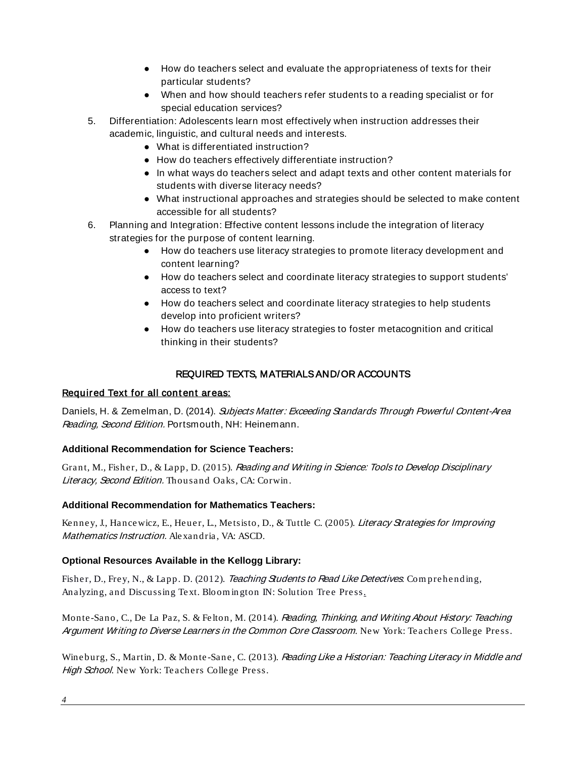- How do teachers select and evaluate the appropriateness of texts for their particular students?
- When and how should teachers refer students to a reading specialist or for special education services?
- 5. Differentiation: Adolescents learn most effectively when instruction addresses their academic, linguistic, and cultural needs and interests.
	- What is differentiated instruction?
	- How do teachers effectively differentiate instruction?
	- In what ways do teachers select and adapt texts and other content materials for students with diverse literacy needs?
	- What instructional approaches and strategies should be selected to make content accessible for all students?
- 6. Planning and Integration: Effective content lessons include the integration of literacy strategies for the purpose of content learning.
	- How do teachers use literacy strategies to promote literacy development and content learning?
	- How do teachers select and coordinate literacy strategies to support students' access to text?
	- How do teachers select and coordinate literacy strategies to help students develop into proficient writers?
	- How do teachers use literacy strategies to foster metacognition and critical thinking in their students?

## REQUIRED TEXTS, MATERIALS AND/OR ACCOUNTS

#### <span id="page-4-1"></span><span id="page-4-0"></span>Required Text for all content areas:

Daniels, H. & Zemelman, D. (2014). Subjects Matter: Exceeding Standards Through Powerful Content-Area Reading, Second Edition. Portsmouth, NH: Heinemann.

#### <span id="page-4-2"></span>**Additional Recommendation for Science Teachers:**

Grant, M., Fisher, D., & Lapp, D. (2015). Reading and Writing in Science: Tools to Develop Disciplinary Literacy, Second Edition. Thousand Oaks, CA: Corwin.

#### <span id="page-4-3"></span>**Additional Recommendation for Mathematics Teachers:**

Kenney, J., Hancewicz, E., Heuer, L., Metsisto, D., & Tuttle C. (2005). Literacy Strategies for Improving Mathematics Instruction. Alexandria, VA: ASCD.

#### <span id="page-4-4"></span>**Optional Resources Available in the Kellogg Library:**

Fisher, D., Frey, N., & Lapp. D. (2012). Teaching Students to Read Like Detectives: Comprehending, Analyzing, and Discussing Text. Bloom in gton IN: Solution Tree Press.

Monte-Sano, C., De La Paz, S. & Felton, M. (2014). Reading, Thinking, and Writing About History: Teaching Argument Writing to Diverse Learners in the Common Core Classroom. New York: Teachers College Press.

Wineburg, S., Martin, D. & Monte-Sane, C. (2013). Reading Like a Historian: Teaching Literacy in Middle and High School. New York: Teachers College Press.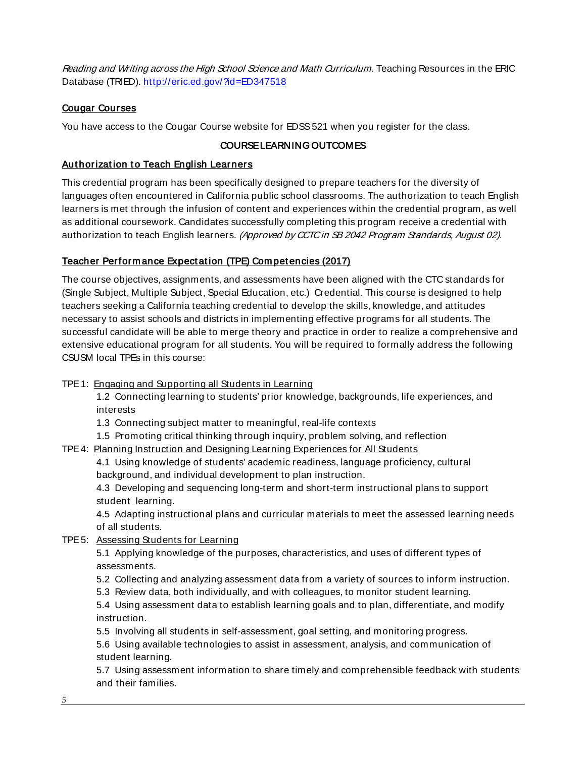Reading and Writing across the High School Science and Math Curriculum. Teaching Resources in the ERIC Database (TRIED).<http://eric.ed.gov/?id=ED347518>

#### <span id="page-5-0"></span>Cougar Courses

<span id="page-5-1"></span>You have access to the Cougar Course website for EDSS 521 when you register for the class.

#### COURSE LEARNING OUTCOMES

#### <span id="page-5-2"></span>Authorization to Teach English Learners

This credential program has been specifically designed to prepare teachers for the diversity of languages often encountered in California public school classrooms. The authorization to teach English learners is met through the infusion of content and experiences within the credential program, as well as additional coursework. Candidates successfully completing this program receive a credential with authorization to teach English learners. (Approved by CCTC in SB 2042 Program Standards, August 02).

#### <span id="page-5-3"></span>Teacher Perform ance Expect at ion (TPE) Com pet encies (2017)

The course objectives, assignments, and assessments have been aligned with the CTC standards for (Single Subject, Multiple Subject, Special Education, etc.) Credential. This course is designed to help teachers seeking a California teaching credential to develop the skills, knowledge, and attitudes necessary to assist schools and districts in implementing effective programs for all students. The successful candidate will be able to merge theory and practice in order to realize a comprehensive and extensive educational program for all students. You will be required to formally address the following CSUSM local TPEs in this course:

TPE 1: Engaging and Supporting all Students in Learning

1.2 Connecting learning to students' prior knowledge, backgrounds, life experiences, and interests

1.3 Connecting subject matter to meaningful, real-life contexts

1.5 Promoting critical thinking through inquiry, problem solving, and reflection

TPE 4: Planning Instruction and Designing Learning Experiences for All Students

4.1 Using knowledge of students' academic readiness, language proficiency, cultural background, and individual development to plan instruction.

4.3 Developing and sequencing long-term and short-term instructional plans to support student learning.

4.5 Adapting instructional plans and curricular materials to meet the assessed learning needs of all students.

#### TPE 5: Assessing Students for Learning

5.1 Applying knowledge of the purposes, characteristics, and uses of different types of assessments.

5.2 Collecting and analyzing assessment data from a variety of sources to inform instruction.

5.3 Review data, both individually, and with colleagues, to monitor student learning.

5.4 Using assessment data to establish learning goals and to plan, differentiate, and modify instruction.

5.5 Involving all students in self-assessment, goal setting, and monitoring progress.

5.6 Using available technologies to assist in assessment, analysis, and communication of student learning.

5.7 Using assessment information to share timely and comprehensible feedback with students and their families.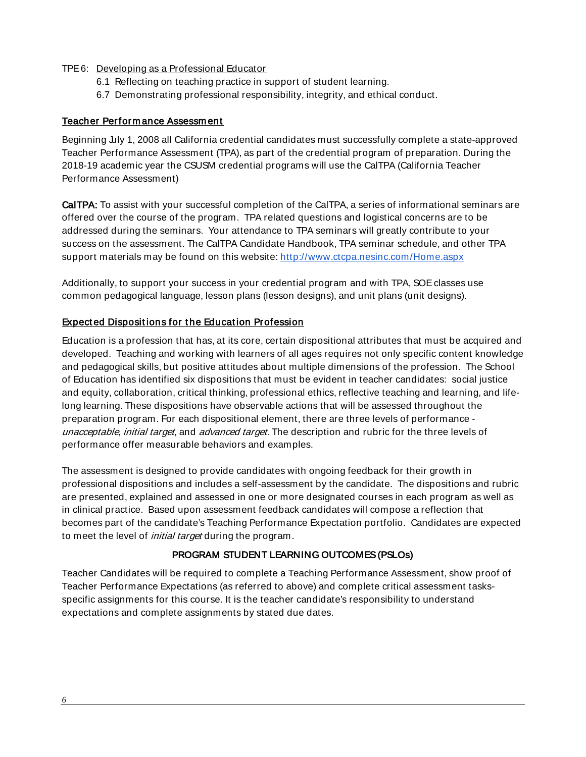#### TPE 6: Developing as a Professional Educator

- 6.1 Reflecting on teaching practice in support of student learning.
- 6.7 Demonstrating professional responsibility, integrity, and ethical conduct.

#### <span id="page-6-0"></span>Teacher Perform ance Assessm ent

Beginning July 1, 2008 all California credential candidates must successfully complete a state-approved Teacher Performance Assessment (TPA), as part of the credential program of preparation. During the 2018-19 academic year the CSUSM credential programs will use the CalTPA (California Teacher Performance Assessment)

CalTPA: To assist with your successful completion of the CalTPA, a series of informational seminars are offered over the course of the program. TPA related questions and logistical concerns are to be addressed during the seminars. Your attendance to TPA seminars will greatly contribute to your success on the assessment. The CalTPA Candidate Handbook, TPA seminar schedule, and other TPA support materials may be found on this website:<http://www.ctcpa.nesinc.com/Home.aspx>

Additionally, to support your success in your credential program and with TPA, SOE classes use common pedagogical language, lesson plans (lesson designs), and unit plans (unit designs).

#### <span id="page-6-1"></span>**Expected Dispositions for the Education Profession**

Education is a profession that has, at its core, certain dispositional attributes that must be acquired and developed. Teaching and working with learners of all ages requires not only specific content knowledge and pedagogical skills, but positive attitudes about multiple dimensions of the profession. The School of Education has identified six dispositions that must be evident in teacher candidates: social justice and equity, collaboration, critical thinking, professional ethics, reflective teaching and learning, and lifelong learning. These dispositions have observable actions that will be assessed throughout the preparation program. For each dispositional element, there are three levels of performance unacceptable, initial target, and advanced target. The description and rubric for the three levels of performance offer measurable behaviors and examples.

The assessment is designed to provide candidates with ongoing feedback for their growth in professional dispositions and includes a self-assessment by the candidate. The dispositions and rubric are presented, explained and assessed in one or more designated courses in each program as well as in clinical practice. Based upon assessment feedback candidates will compose a reflection that becomes part of the candidate's Teaching Performance Expectation portfolio. Candidates are expected to meet the level of *initial target* during the program.

#### PROGRAM STUDENT LEARNING OUTCOMES (PSLOs)

<span id="page-6-2"></span>Teacher Candidates will be required to complete a Teaching Performance Assessment, show proof of Teacher Performance Expectations (as referred to above) and complete critical assessment tasksspecific assignments for this course. It is the teacher candidate's responsibility to understand expectations and complete assignments by stated due dates.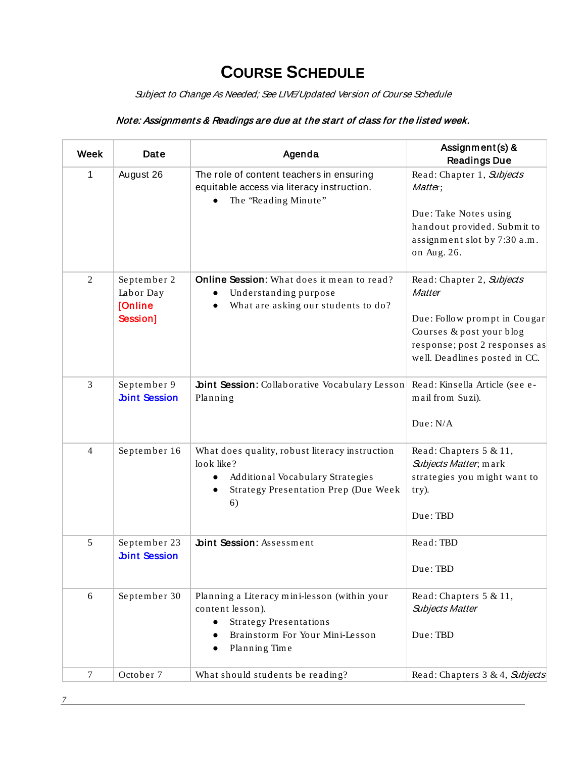# **COURSE SCHEDULE**

Subject to Change As Needed; See LIVE/Updated Version of Course Schedule

## <span id="page-7-0"></span>Note: Assignments & Readings are due at the start of class for the listed week.

| <b>Week</b>    | Date                                            | Agenda                                                                                                                                                | Assignment(s) &<br><b>Readings Due</b>                                                                                                                                   |
|----------------|-------------------------------------------------|-------------------------------------------------------------------------------------------------------------------------------------------------------|--------------------------------------------------------------------------------------------------------------------------------------------------------------------------|
| 1              | August 26                                       | The role of content teachers in ensuring<br>equitable access via literacy instruction.<br>The 'Reading Minute"                                        | Read: Chapter 1, Subjects<br>Matter;                                                                                                                                     |
|                |                                                 |                                                                                                                                                       | Due: Take Notes using<br>handout provided. Submit to<br>assignment slot by 7:30 a.m.<br>on Aug. 26.                                                                      |
| $\overline{2}$ | September 2<br>Labor Day<br>[Online<br>Session] | Online Session: What does it mean to read?<br>Understanding purpose<br>What are asking our students to do?                                            | Read: Chapter 2, Subjects<br><b>Matter</b><br>Due: Follow prompt in Cougar<br>Courses & post your blog<br>response; post 2 responses as<br>well. Deadlines posted in CC. |
| 3              | September 9<br><b>Joint Session</b>             | bint Session: Collaborative Vocabulary Lesson<br>Planning                                                                                             | Read: Kinsella Article (see e-<br>mail from Suzi).<br>Due: N/A                                                                                                           |
| $\overline{4}$ | September 16                                    | What does quality, robust literacy instruction<br>look like?<br>Additional Vocabulary Strategies<br>Strategy Presentation Prep (Due Week<br>6)        | Read: Chapters $5 & 11$ ,<br>Subjects Matter; mark<br>strategies you might want to<br>try).<br>Due: TBD                                                                  |
| 5              | September 23<br><b>Joint Session</b>            | <b>Joint Session: Assessment</b>                                                                                                                      | Read: TBD<br>Due: TBD                                                                                                                                                    |
| 6              | September 30                                    | Planning a Literacy mini-lesson (within your<br>content lesson).<br><b>Strategy Presentations</b><br>Brainstorm For Your Mini-Lesson<br>Planning Time | Read: Chapters $5 & 11$ ,<br><b>Subjects Matter</b><br>Due: TBD                                                                                                          |
| $\tau$         | October 7                                       | What should students be reading?                                                                                                                      | Read: Chapters 3 & 4, Subjects                                                                                                                                           |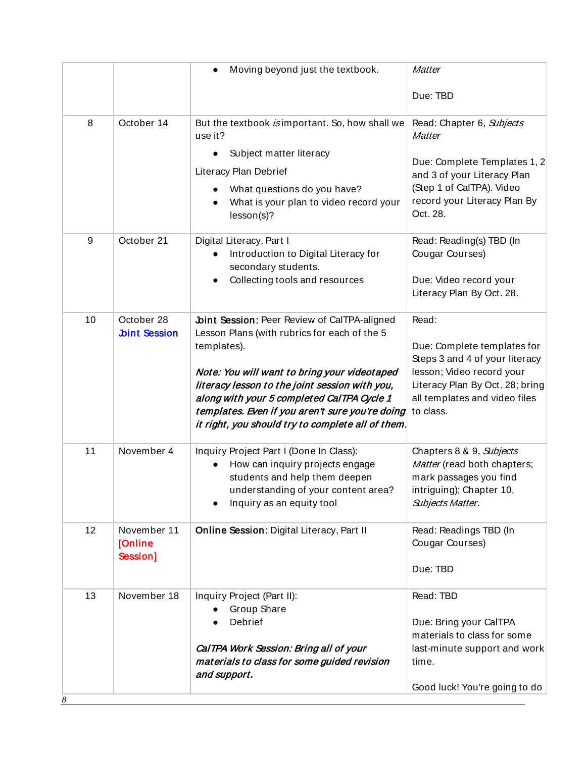|         |                                    | Moving beyond just the textbook.                                                                                                                                                                                                                                                                                                                                           | Matter                                                                                                                                                                               |
|---------|------------------------------------|----------------------------------------------------------------------------------------------------------------------------------------------------------------------------------------------------------------------------------------------------------------------------------------------------------------------------------------------------------------------------|--------------------------------------------------------------------------------------------------------------------------------------------------------------------------------------|
|         |                                    |                                                                                                                                                                                                                                                                                                                                                                            | Due: TBD                                                                                                                                                                             |
| 8       | October 14                         | But the textbook is important. So, how shall we<br>use it?<br>Subject matter literacy<br>Literacy Plan Debrief<br>What questions do you have?<br>What is your plan to video record your<br>lesson(s)?                                                                                                                                                                      | Read: Chapter 6, Subjects<br><b>Matter</b><br>Due: Complete Templates 1, 2<br>and 3 of your Literacy Plan<br>(Step 1 of CalTPA). Video<br>record your Literacy Plan By<br>Oct. 28.   |
| 9       | October 21                         | Digital Literacy, Part I<br>Introduction to Digital Literacy for<br>secondary students.<br>Collecting tools and resources                                                                                                                                                                                                                                                  | Read: Reading(s) TBD (In<br>Cougar Courses)<br>Due: Video record your<br>Literacy Plan By Oct. 28.                                                                                   |
| 10      | October 28<br><b>Joint Session</b> | <b>Joint Session: Peer Review of CalTPA-aligned</b><br>Lesson Plans (with rubrics for each of the 5<br>templates).<br>Note: You will want to bring your videotaped<br>literacy lesson to the joint session with you,<br>along with your 5 completed CalTPA Cycle 1<br>templates. Even if you aren't sure you're doing<br>it right, you should try to complete all of them. | Read:<br>Due: Complete templates for<br>Steps 3 and 4 of your literacy<br>lesson; Video record your<br>Literacy Plan By Oct. 28; bring<br>all templates and video files<br>to class. |
| 11      | November 4                         | Inquiry Project Part I (Done In Class):<br>How can inquiry projects engage<br>students and help them deepen<br>understanding of your content area?<br>Inquiry as an equity tool                                                                                                                                                                                            | Chapters 8 & 9, Subjects<br>Matter (read both chapters;<br>mark passages you find<br>intriguing); Chapter 10,<br>Subjects Matter.                                                    |
| 12      | November 11<br>[Online<br>Session] | Online Session: Digital Literacy, Part II                                                                                                                                                                                                                                                                                                                                  | Read: Readings TBD (In<br>Cougar Courses)<br>Due: TBD                                                                                                                                |
| 13<br>8 | November 18                        | Inquiry Project (Part II):<br>Group Share<br>Debrief<br>CalTPA Work Session: Bring all of your<br>materials to class for some guided revision<br>and support.                                                                                                                                                                                                              | Read: TBD<br>Due: Bring your CalTPA<br>materials to class for some<br>last-minute support and work<br>time.<br>Good luck! You're going to do                                         |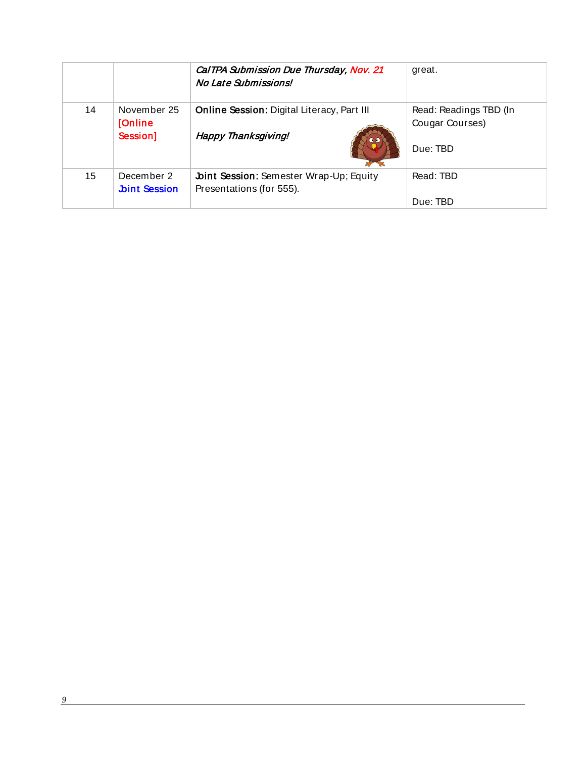|    |                      | CalTPA Submission Due Thursday, Nov. 21<br>No Late Submissions! | great.                 |
|----|----------------------|-----------------------------------------------------------------|------------------------|
| 14 | November 25          | <b>Online Session: Digital Literacy, Part III</b>               | Read: Readings TBD (In |
|    | <b>[Online</b>       | Happy Thanksgiving!                                             | Cougar Courses)        |
|    | Session]             | $\bullet$                                                       | Due: TBD               |
| 15 | December 2           | <b>Joint Session: Semester Wrap-Up; Equity</b>                  | Read: TBD              |
|    | <b>Joint Session</b> | Presentations (for 555).                                        | Due: TBD               |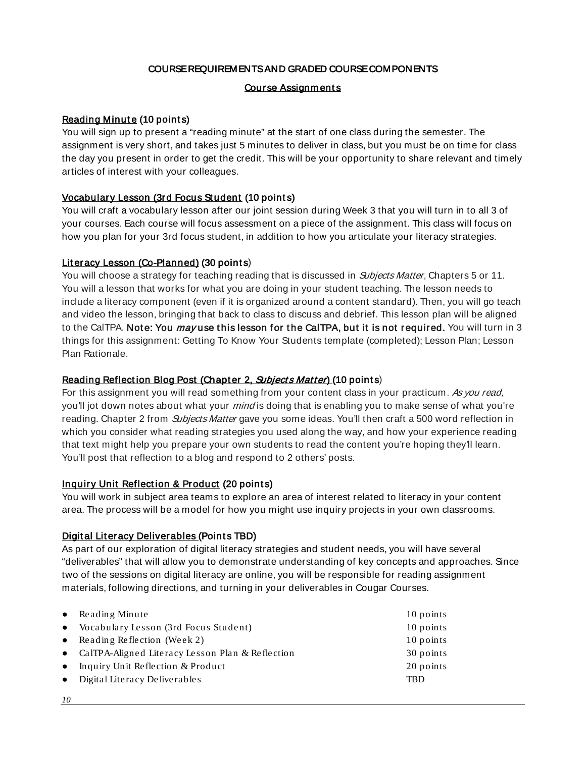#### COURSE REQUIREMENTS AND GRADED COURSE COMPONENTS

#### Course Assignments

#### <span id="page-10-1"></span><span id="page-10-0"></span>**Reading Minute (10 points)**

You will sign up to present a "reading minute" at the start of one class during the semester. The assignment is very short, and takes just 5 minutes to deliver in class, but you must be on time for class the day you present in order to get the credit. This will be your opportunity to share relevant and timely articles of interest with your colleagues.

#### Vocabulary Lesson (3rd Focus Student (10 points)

You will craft a vocabulary lesson after our joint session during Week 3 that you will turn in to all 3 of your courses. Each course will focus assessment on a piece of the assignment. This class will focus on how you plan for your 3rd focus student, in addition to how you articulate your literacy strategies.

#### Literacy Lesson (Co-Planned) (30 points)

You will choose a strategy for teaching reading that is discussed in *Subjects Matter*, Chapters 5 or 11. You will a lesson that works for what you are doing in your student teaching. The lesson needs to include a literacy component (even if it is organized around a content standard). Then, you will go teach and video the lesson, bringing that back to class to discuss and debrief. This lesson plan will be aligned to the CalTPA. Note: You may use this lesson for the CalTPA, but it is not required. You will turn in 3 things for this assignment: Getting To Know Your Students template (completed); Lesson Plan; Lesson Plan Rationale.

#### Reading Reflection Blog Post (Chapter 2, Subjects Matter) (10 points)

For this assignment you will read something from your content class in your practicum. As you read, you'll jot down notes about what your *mind* is doing that is enabling you to make sense of what you're reading. Chapter 2 from *Subjects Matter* gave you some ideas. You'll then craft a 500 word reflection in which you consider what reading strategies you used along the way, and how your experience reading that text might help you prepare your own students to read the content you're hoping they'll learn. You'll post that reflection to a blog and respond to 2 others' posts.

#### Inquiry Unit Reflection & Product (20 points)

You will work in subject area teams to explore an area of interest related to literacy in your content area. The process will be a model for how you might use inquiry projects in your own classrooms.

#### Digital Literacy Deliverables (Points TBD)

As part of our exploration of digital literacy strategies and student needs, you will have several "deliverables" that will allow you to demonstrate understanding of key concepts and approaches. Since two of the sessions on digital literacy are online, you will be responsible for reading assignment materials, following directions, and turning in your deliverables in Cougar Courses.

| • Reading Minute                                   | 10 points |
|----------------------------------------------------|-----------|
| • Vocabulary Lesson (3rd Focus Student)            | 10 points |
| • Reading Reflection (Week 2)                      | 10 points |
| • CalTPA-Aligned Literacy Lesson Plan & Reflection | 30 points |
| • Inquiry Unit Reflection $&$ Product              | 20 points |
| $\bullet$ Digital Literacy Deliverables            | TBD       |
|                                                    |           |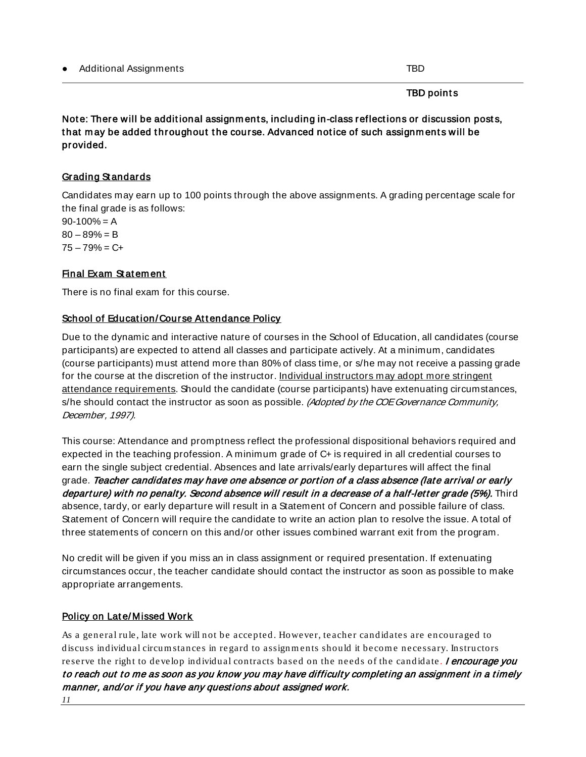#### TBD points

Note: There will be additional assignments, including in-class reflections or discussion posts, that may be added throughout the course. Advanced notice of such assignments will be provided.

## <span id="page-11-0"></span>Grading Standards

Candidates may earn up to 100 points through the above assignments. A grading percentage scale for the final grade is as follows:

 $90-100% = A$  $80 - 89% = B$  $75 - 79\% = C +$ 

#### <span id="page-11-1"></span>Final Exam Statement

There is no final exam for this course.

#### <span id="page-11-2"></span>School of Education/Course Attendance Policy

Due to the dynamic and interactive nature of courses in the School of Education, all candidates (course participants) are expected to attend all classes and participate actively. At a minimum, candidates (course participants) must attend more than 80% of class time, or s/he may not receive a passing grade for the course at the discretion of the instructor. Individual instructors may adopt more stringent attendance requirements. Should the candidate (course participants) have extenuating circumstances, s/he should contact the instructor as soon as possible. (Adopted by the COE Governance Community, December, 1997).

This course: Attendance and promptness reflect the professional dispositional behaviors required and expected in the teaching profession. A minimum grade of C+ is required in all credential courses to earn the single subject credential. Absences and late arrivals/early departures will affect the final grade. Teacher candidates may have one absence or portion of a class absence (late arrival or early departure) with no penalty. Second absence will result in a decrease of a half-letter grade (5%). Third absence, tardy, or early departure will result in a Statement of Concern and possible failure of class. Statement of Concern will require the candidate to write an action plan to resolve the issue. A total of three statements of concern on this and/or other issues combined warrant exit from the program.

No credit will be given if you miss an in class assignment or required presentation. If extenuating circumstances occur, the teacher candidate should contact the instructor as soon as possible to make appropriate arrangements.

#### <span id="page-11-3"></span>Policy on Late/Missed Work

As a general rule, late work will not be accepted. However, teacher candidates are encouraged to discuss individual circum stances in regard to assignments should it become necessary. Instructors reserve the right to develop individual contracts based on the needs of the candidate. **I encourage you** to reach out to me as soon as you know you may have difficulty completing an assignment in a timely manner, and/or if you have any questions about assigned work.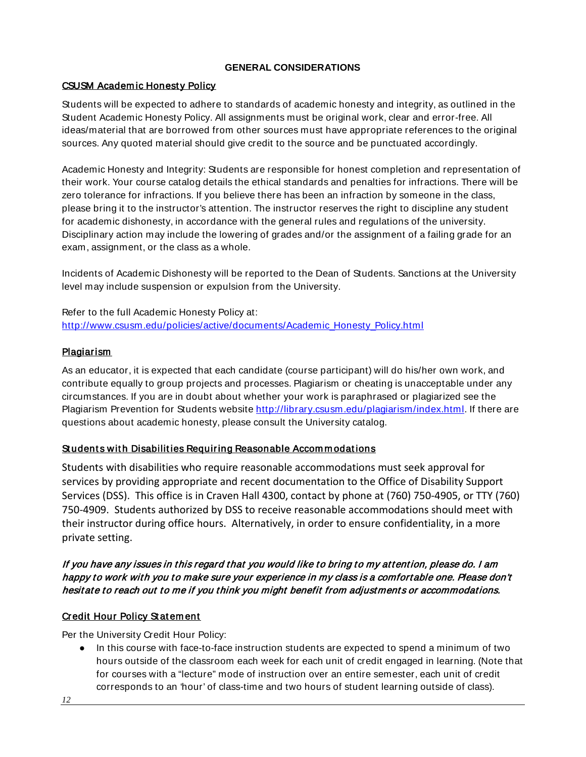#### **GENERAL CONSIDERATIONS**

#### <span id="page-12-1"></span><span id="page-12-0"></span>CSUSM Academ ic Honest y Policy

Students will be expected to adhere to standards of academic honesty and integrity, as outlined in the Student Academic Honesty Policy. All assignments must be original work, clear and error-free. All ideas/material that are borrowed from other sources must have appropriate references to the original sources. Any quoted material should give credit to the source and be punctuated accordingly.

Academic Honesty and Integrity: Students are responsible for honest completion and representation of their work. Your course catalog details the ethical standards and penalties for infractions. There will be zero tolerance for infractions. If you believe there has been an infraction by someone in the class, please bring it to the instructor's attention. The instructor reserves the right to discipline any student for academic dishonesty, in accordance with the general rules and regulations of the university. Disciplinary action may include the lowering of grades and/or the assignment of a failing grade for an exam, assignment, or the class as a whole.

Incidents of Academic Dishonesty will be reported to the Dean of Students. Sanctions at the University level may include suspension or expulsion from the University.

Refer to the full Academic Honesty Policy at: [http://www.csusm.edu/policies/active/documents/Academic\\_Honesty\\_Policy.html](http://www.csusm.edu/policies/active/documents/Academic_Honesty_Policy.html)

#### <span id="page-12-2"></span>**Plagiarism**

As an educator, it is expected that each candidate (course participant) will do his/her own work, and contribute equally to group projects and processes. Plagiarism or cheating is unacceptable under any circumstances. If you are in doubt about whether your work is paraphrased or plagiarized see the Plagiarism Prevention for Students website [http://library.csusm.edu/plagiarism/index.html.](http://library.csusm.edu/plagiarism/index.html) If there are questions about academic honesty, please consult the University catalog.

#### <span id="page-12-3"></span>Students with Disabilities Requiring Reasonable Accommodations

Students with disabilities who require reasonable accommodations must seek approval for services by providing appropriate and recent documentation to the Office of Disability Support Services (DSS). This office is in Craven Hall 4300, contact by phone at (760) 750-4905, or TTY (760) 750-4909. Students authorized by DSS to receive reasonable accommodations should meet with their instructor during office hours. Alternatively, in order to ensure confidentiality, in a more private setting.

#### If you have any issues in this regard that you would like to bring to my attent ion, please do. I am happy to work with you to make sure your experience in my class is a comfortable one. Please don't hesitate to reach out to me if you think you might benefit from adjustments or accommodations.

#### <span id="page-12-4"></span>**Credit Hour Policy Statement**

Per the University Credit Hour Policy:

● In this course with face-to-face instruction students are expected to spend a minimum of two hours outside of the classroom each week for each unit of credit engaged in learning. (Note that for courses with a "lecture" mode of instruction over an entire semester, each unit of credit corresponds to an 'hour' of class-time and two hours of student learning outside of class).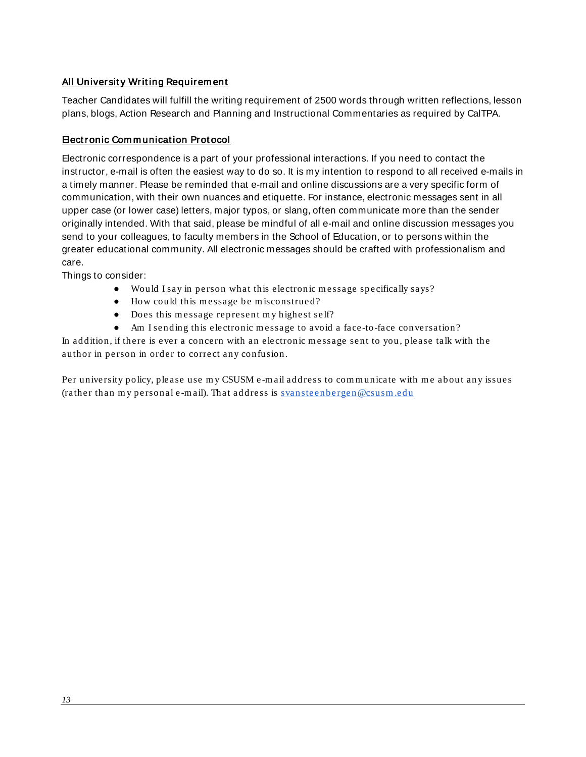#### <span id="page-13-0"></span>All University Writing Requirem ent

Teacher Candidates will fulfill the writing requirement of 2500 words through written reflections, lesson plans, blogs, Action Research and Planning and Instructional Commentaries as required by CalTPA.

#### <span id="page-13-1"></span>Elect ronic Com m unicat ion Prot ocol

Electronic correspondence is a part of your professional interactions. If you need to contact the instructor, e-mail is often the easiest way to do so. It is my intention to respond to all received e-mails in a timely manner. Please be reminded that e-mail and online discussions are a very specific form of communication, with their own nuances and etiquette. For instance, electronic messages sent in all upper case (or lower case) letters, major typos, or slang, often communicate more than the sender originally intended. With that said, please be mindful of all e-mail and online discussion messages you send to your colleagues, to faculty members in the School of Education, or to persons within the greater educational community. All electronic messages should be crafted with professionalism and care.

Things to consider:

- Would I say in person what this electronic m essage specifically says?
- How could this message be misconstrued?
- Does this message represent my highest self?
- Am I sending this electronic message to avoid a face-to-face conversation?

In addition, if there is ever a concern with an electronic message sent to you, please talk with the author in person in order to correct any confusion.

Per university policy, please use my CSUSM e-mail address to communicate with me about any issues (rather than my personal e-mail). That address is svansteenbergen@csusm.edu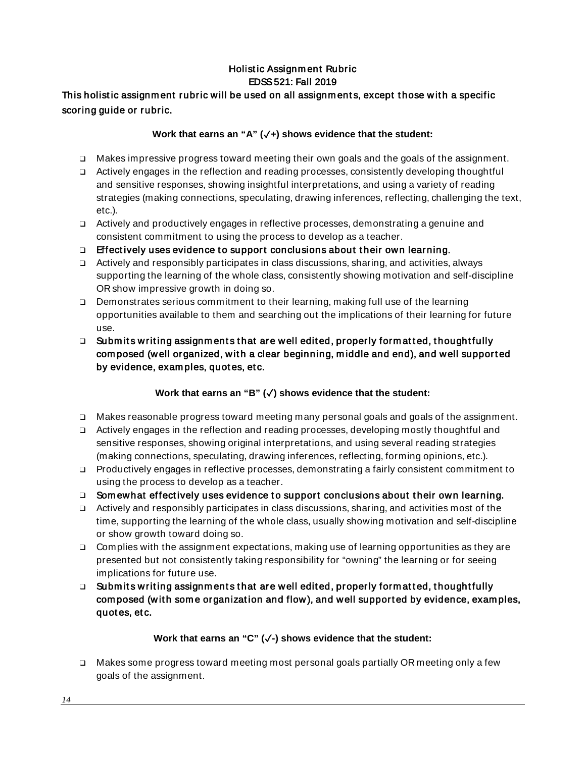## Holist ic Assignm ent Rubric EDSS 521: Fall 2019

## This holistic assignment rubric will be used on all assignments, except those with a specific scoring guide or rubric.

#### **Work that earns an "A" (**✓**+) shows evidence that the student:**

- ❑ Makes impressive progress toward meeting their own goals and the goals of the assignment.
- ❑ Actively engages in the reflection and reading processes, consistently developing thoughtful and sensitive responses, showing insightful interpretations, and using a variety of reading strategies (making connections, speculating, drawing inferences, reflecting, challenging the text, etc.).
- ❑ Actively and productively engages in reflective processes, demonstrating a genuine and consistent commitment to using the process to develop as a teacher.
- $\Box$  Effectively uses evidence to support conclusions about their own learning.
- ❑ Actively and responsibly participates in class discussions, sharing, and activities, always supporting the learning of the whole class, consistently showing motivation and self-discipline OR show impressive growth in doing so.
- ❑ Demonstrates serious commitment to their learning, making full use of the learning opportunities available to them and searching out the implications of their learning for future use.
- □ Submits writing assignments that are well edited, properly formatted, thoughtfully com posed (w ell organized, wit h a clear beginning, m iddle and end), and well support ed by evidence, examples, quotes, etc.

## **Work that earns an "B" (**✓**) shows evidence that the student:**

- ❑ Makes reasonable progress toward meeting many personal goals and goals of the assignment.
- ❑ Actively engages in the reflection and reading processes, developing mostly thoughtful and sensitive responses, showing original interpretations, and using several reading strategies (making connections, speculating, drawing inferences, reflecting, forming opinions, etc.).
- ❑ Productively engages in reflective processes, demonstrating a fairly consistent commitment to using the process to develop as a teacher.
- □ Somewhat effectively uses evidence to support conclusions about their own learning.
- ❑ Actively and responsibly participates in class discussions, sharing, and activities most of the time, supporting the learning of the whole class, usually showing motivation and self-discipline or show growth toward doing so.
- ❑ Complies with the assignment expectations, making use of learning opportunities as they are presented but not consistently taking responsibility for "owning" the learning or for seeing implications for future use.
- $\Box$  Submits writing assignments that are well edited, properly formatted, thoughtfully composed (with some organization and flow), and well supported by evidence, examples, quot es, et c.

## **Work that earns an "C" (**✓**-) shows evidence that the student:**

❑ Makes some progress toward meeting most personal goals partially OR meeting only a few goals of the assignment.